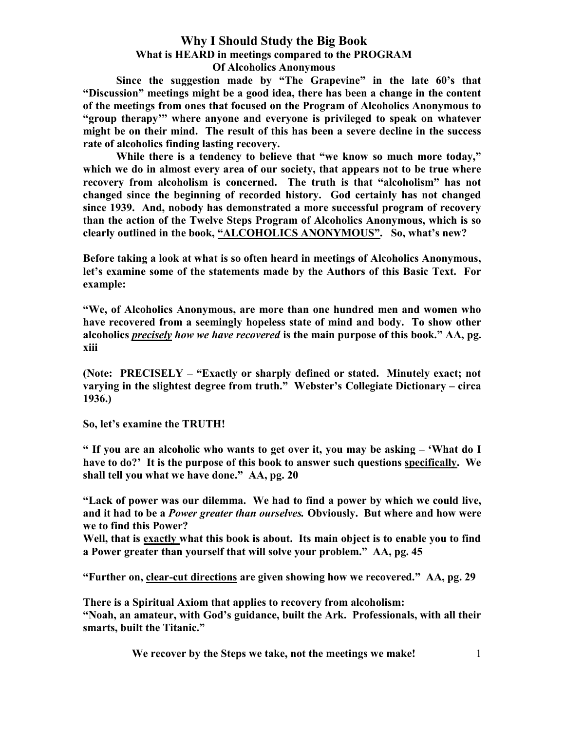Since the suggestion made by "The Grapevine" in the late 60's that "Discussion" meetings might be a good idea, there has been a change in the content of the meetings from ones that focused on the Program of Alcoholics Anonymous to "group therapy'" where anyone and everyone is privileged to speak on whatever might be on their mind. The result of this has been a severe decline in the success rate of alcoholics finding lasting recovery.

While there is a tendency to believe that "we know so much more today," which we do in almost every area of our society, that appears not to be true where recovery from alcoholism is concerned. The truth is that "alcoholism" has not changed since the beginning of recorded history. God certainly has not changed since 1939. And, nobody has demonstrated a more successful program of recovery than the action of the Twelve Steps Program of Alcoholics Anonymous, which is so clearly outlined in the book, "ALCOHOLICS ANONYMOUS". So, what's new?

Before taking a look at what is so often heard in meetings of Alcoholics Anonymous, let's examine some of the statements made by the Authors of this Basic Text. For example:

"We, of Alcoholics Anonymous, are more than one hundred men and women who have recovered from a seemingly hopeless state of mind and body. To show other alcoholics *precisely how we have recovered* is the main purpose of this book." AA, pg. xiii

(Note: PRECISELY – "Exactly or sharply defined or stated. Minutely exact; not varying in the slightest degree from truth." Webster's Collegiate Dictionary – circa 1936.)

So, let's examine the TRUTH!

" If you are an alcoholic who wants to get over it, you may be asking – 'What do I have to do?' It is the purpose of this book to answer such questions specifically. We shall tell you what we have done." AA, pg. 20

"Lack of power was our dilemma. We had to find a power by which we could live, and it had to be a *Power greater than ourselves*. Obviously. But where and how were we to find this Power?

Well, that is exactly what this book is about. Its main object is to enable you to find a Power greater than yourself that will solve your problem." AA, pg. 45

"Further on, clear-cut directions are given showing how we recovered." AA, pg. 29

There is a Spiritual Axiom that applies to recovery from alcoholism: "Noah, an amateur, with God's guidance, built the Ark. Professionals, with all their smarts, built the Titanic."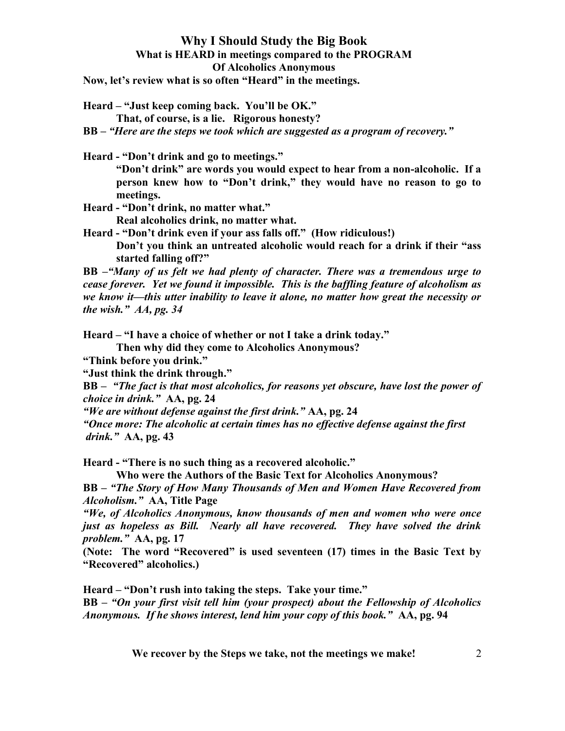Now, let's review what is so often "Heard" in the meetings.

Heard – "Just keep coming back. You'll be OK."

That, of course, is a lie. Rigorous honesty?

BB – "Here are the steps we took which are suggested as a program of recovery."

Heard - "Don't drink and go to meetings."

"Don't drink" are words you would expect to hear from a non-alcoholic. If a person knew how to "Don't drink," they would have no reason to go to meetings.

Heard - "Don't drink, no matter what."

Real alcoholics drink, no matter what.

Heard - "Don't drink even if your ass falls off." (How ridiculous!) Don't you think an untreated alcoholic would reach for a drink if their "ass

started falling off?"

BB –"Many of us felt we had plenty of character. There was a tremendous urge to cease forever. Yet we found it impossible. This is the baffling feature of alcoholism as we know it—this utter inability to leave it alone, no matter how great the necessity or the wish."  $AA$ , pg. 34

Heard – "I have a choice of whether or not I take a drink today."

Then why did they come to Alcoholics Anonymous?

"Think before you drink."

"Just think the drink through."

BB – "The fact is that most alcoholics, for reasons yet obscure, have lost the power of choice in drink." AA, pg. 24

"We are without defense against the first drink."  $AA$ , pg. 24

"Once more: The alcoholic at certain times has no effective defense against the first drink." AA, pg. 43

Heard - "There is no such thing as a recovered alcoholic."

Who were the Authors of the Basic Text for Alcoholics Anonymous?

BB – "The Story of How Many Thousands of Men and Women Have Recovered from Alcoholism." AA, Title Page

"We, of Alcoholics Anonymous, know thousands of men and women who were once just as hopeless as Bill. Nearly all have recovered. They have solved the drink problem." AA, pg. 17

(Note: The word "Recovered" is used seventeen (17) times in the Basic Text by "Recovered" alcoholics.)

Heard – "Don't rush into taking the steps. Take your time."

BB – "On your first visit tell him (your prospect) about the Fellowship of Alcoholics Anonymous. If he shows interest, lend him your copy of this book." AA, pg. 94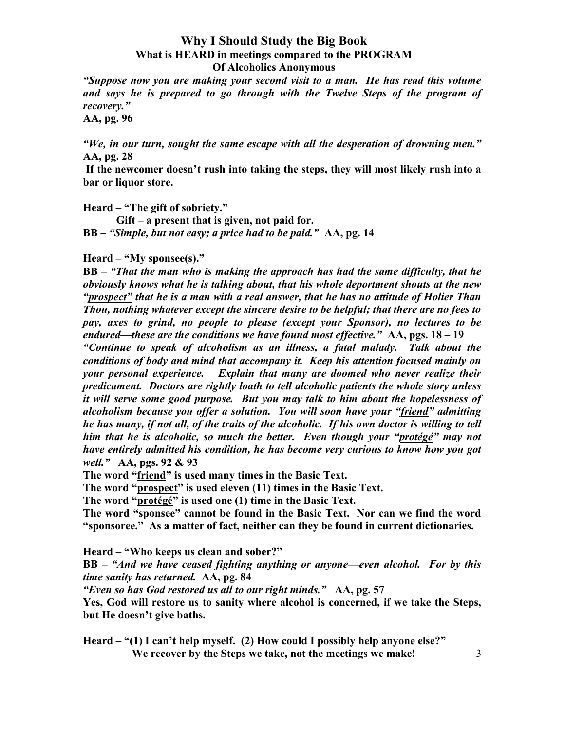"Suppose now you are making your second visit to a man. He has read this volume and says he is prepared to go through with the Twelve Steps of the program of recovery."

AA, pg. 96

"We, in our turn, sought the same escape with all the desperation of drowning men." AA, pg. 28

If the newcomer doesn't rush into taking the steps, they will most likely rush into a bar or liquor store.

Heard – "The gift of sobriety."

 Gift – a present that is given, not paid for. BB – "Simple, but not easy; a price had to be paid." AA, pg. 14

 $Heart - "My sponsee(s)."$ 

BB – "That the man who is making the approach has had the same difficulty, that he obviously knows what he is talking about, that his whole deportment shouts at the new "prospect" that he is a man with a real answer, that he has no attitude of Holier Than Thou, nothing whatever except the sincere desire to be helpful; that there are no fees to pay, axes to grind, no people to please (except your Sponsor), no lectures to be endured—these are the conditions we have found most effective."  $AA$ , pgs.  $18-19$ "Continue to speak of alcoholism as an illness, a fatal malady. Talk about the conditions of body and mind that accompany it. Keep his attention focused mainly on your personal experience. Explain that many are doomed who never realize their predicament. Doctors are rightly loath to tell alcoholic patients the whole story unless it will serve some good purpose. But you may talk to him about the hopelessness of alcoholism because you offer a solution. You will soon have your "friend" admitting he has many, if not all, of the traits of the alcoholic. If his own doctor is willing to tell him that he is alcoholic, so much the better. Even though your "protégé" may not have entirely admitted his condition, he has become very curious to know how you got well." AA, pgs. 92 & 93

The word "friend" is used many times in the Basic Text.

The word "prospect" is used eleven (11) times in the Basic Text.

The word "protégé" is used one (1) time in the Basic Text.

The word "sponsee" cannot be found in the Basic Text. Nor can we find the word "sponsoree." As a matter of fact, neither can they be found in current dictionaries.

Heard – "Who keeps us clean and sober?"

BB – "And we have ceased fighting anything or anyone—even alcohol. For by this time sanity has returned. AA, pg. 84

"Even so has God restored us all to our right minds." AA, pg. 57

Yes, God will restore us to sanity where alcohol is concerned, if we take the Steps, but He doesn't give baths.

We recover by the Steps we take, not the meetings we make! 3 Heard – "(1) I can't help myself. (2) How could I possibly help anyone else?"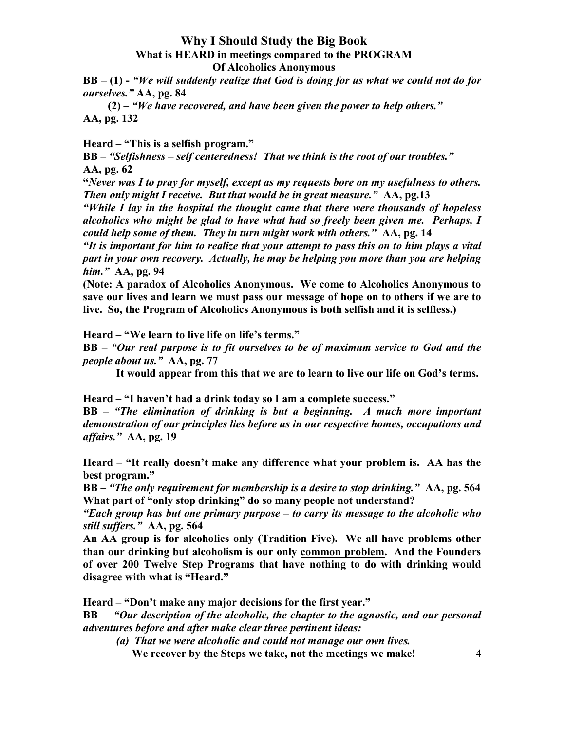$BB - (1)$  - "We will suddenly realize that God is doing for us what we could not do for ourselves." AA, pg. 84

 $(2)$  – "We have recovered, and have been given the power to help others." AA, pg. 132

Heard – "This is a selfish program."

BB – "Selfishness – self centeredness! That we think is the root of our troubles." AA, pg. 62

"Never was I to pray for myself, except as my requests bore on my usefulness to others. Then only might I receive. But that would be in great measure." AA, pg.13

"While I lay in the hospital the thought came that there were thousands of hopeless alcoholics who might be glad to have what had so freely been given me. Perhaps, I could help some of them. They in turn might work with others." AA, pg. 14

"It is important for him to realize that your attempt to pass this on to him plays a vital part in your own recovery. Actually, he may be helping you more than you are helping him." AA, pg. 94

(Note: A paradox of Alcoholics Anonymous. We come to Alcoholics Anonymous to save our lives and learn we must pass our message of hope on to others if we are to live. So, the Program of Alcoholics Anonymous is both selfish and it is selfless.)

Heard – "We learn to live life on life's terms."

BB – "Our real purpose is to fit ourselves to be of maximum service to God and the people about us." AA, pg. 77

It would appear from this that we are to learn to live our life on God's terms.

Heard – "I haven't had a drink today so I am a complete success."

BB – "The elimination of drinking is but a beginning. A much more important demonstration of our principles lies before us in our respective homes, occupations and affairs." AA, pg. 19

Heard – "It really doesn't make any difference what your problem is. AA has the best program."

BB – "The only requirement for membership is a desire to stop drinking." AA, pg. 564 What part of "only stop drinking" do so many people not understand?

"Each group has but one primary purpose  $-$  to carry its message to the alcoholic who still suffers." AA, pg. 564

An AA group is for alcoholics only (Tradition Five). We all have problems other than our drinking but alcoholism is our only common problem. And the Founders of over 200 Twelve Step Programs that have nothing to do with drinking would disagree with what is "Heard."

Heard – "Don't make any major decisions for the first year."

BB – "Our description of the alcoholic, the chapter to the agnostic, and our personal adventures before and after make clear three pertinent ideas:

We recover by the Steps we take, not the meetings we make! 4 (a) That we were alcoholic and could not manage our own lives.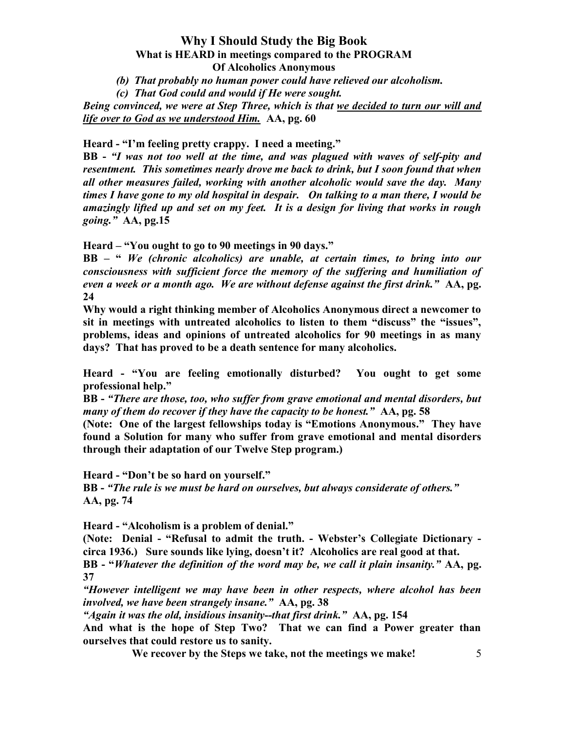- (b) That probably no human power could have relieved our alcoholism.
- (c) That God could and would if He were sought.

Being convinced, we were at Step Three, which is that we decided to turn our will and life over to God as we understood Him. AA, pg. 60

#### Heard - "I'm feeling pretty crappy. I need a meeting."

BB - "I was not too well at the time, and was plagued with waves of self-pity and resentment. This sometimes nearly drove me back to drink, but I soon found that when all other measures failed, working with another alcoholic would save the day. Many times I have gone to my old hospital in despair. On talking to a man there, I would be amazingly lifted up and set on my feet. It is a design for living that works in rough going." AA, pg.15

Heard – "You ought to go to 90 meetings in 90 days."

BB – " We (chronic alcoholics) are unable, at certain times, to bring into our consciousness with sufficient force the memory of the suffering and humiliation of even a week or a month ago. We are without defense against the first drink." AA, pg. 24

Why would a right thinking member of Alcoholics Anonymous direct a newcomer to sit in meetings with untreated alcoholics to listen to them "discuss" the "issues", problems, ideas and opinions of untreated alcoholics for 90 meetings in as many days? That has proved to be a death sentence for many alcoholics.

Heard - "You are feeling emotionally disturbed? You ought to get some professional help."

BB - "There are those, too, who suffer from grave emotional and mental disorders, but many of them do recover if they have the capacity to be honest." AA, pg. 58

(Note: One of the largest fellowships today is "Emotions Anonymous." They have found a Solution for many who suffer from grave emotional and mental disorders through their adaptation of our Twelve Step program.)

Heard - "Don't be so hard on yourself."

BB - "The rule is we must be hard on ourselves, but always considerate of others." AA, pg. 74

Heard - "Alcoholism is a problem of denial."

(Note: Denial - "Refusal to admit the truth. - Webster's Collegiate Dictionary circa 1936.) Sure sounds like lying, doesn't it? Alcoholics are real good at that.

BB - "Whatever the definition of the word may be, we call it plain insanity." AA, pg. 37

"However intelligent we may have been in other respects, where alcohol has been involved, we have been strangely insane." AA, pg. 38

"Again it was the old, insidious insanity--that first drink." AA, pg. 154

And what is the hope of Step Two? That we can find a Power greater than ourselves that could restore us to sanity.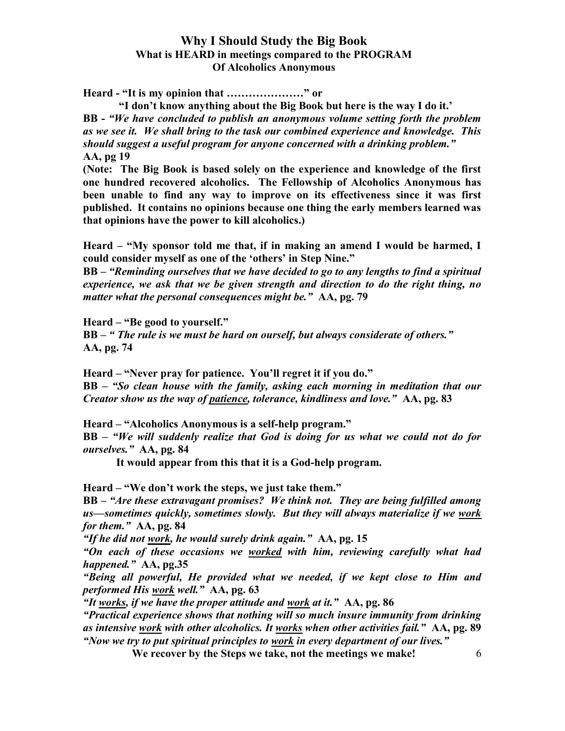Heard - "It is my opinion that …………………" or

 "I don't know anything about the Big Book but here is the way I do it.' BB - "We have concluded to publish an anonymous volume setting forth the problem as we see it. We shall bring to the task our combined experience and knowledge. This should suggest a useful program for anyone concerned with a drinking problem." AA, pg 19

(Note: The Big Book is based solely on the experience and knowledge of the first one hundred recovered alcoholics. The Fellowship of Alcoholics Anonymous has been unable to find any way to improve on its effectiveness since it was first published. It contains no opinions because one thing the early members learned was that opinions have the power to kill alcoholics.)

Heard – "My sponsor told me that, if in making an amend I would be harmed, I could consider myself as one of the 'others' in Step Nine."

BB – "Reminding ourselves that we have decided to go to any lengths to find a spiritual experience, we ask that we be given strength and direction to do the right thing, no matter what the personal consequences might be." AA, pg. 79

Heard – "Be good to yourself."

BB – " The rule is we must be hard on ourself, but always considerate of others." AA, pg. 74

Heard – "Never pray for patience. You'll regret it if you do." BB – "So clean house with the family, asking each morning in meditation that our Creator show us the way of patience, tolerance, kindliness and love." AA, pg. 83

Heard – "Alcoholics Anonymous is a self-help program."

BB – "We will suddenly realize that God is doing for us what we could not do for ourselves." AA, pg. 84

It would appear from this that it is a God-help program.

Heard – "We don't work the steps, we just take them."

BB – "Are these extravagant promises? We think not. They are being fulfilled among us—sometimes quickly, sometimes slowly. But they will always materialize if we work for them." AA, pg. 84

"If he did not work, he would surely drink again."  $AA$ , pg. 15

"On each of these occasions we worked with him, reviewing carefully what had happened." AA, pg.35

"Being all powerful, He provided what we needed, if we kept close to Him and performed His work well." AA, pg. 63

"It works, if we have the proper attitude and work at it."  $AA$ , pg. 86

"Practical experience shows that nothing will so much insure immunity from drinking as intensive work with other alcoholics. It works when other activities fail." AA, pg. 89 "Now we try to put spiritual principles to work in every department of our lives."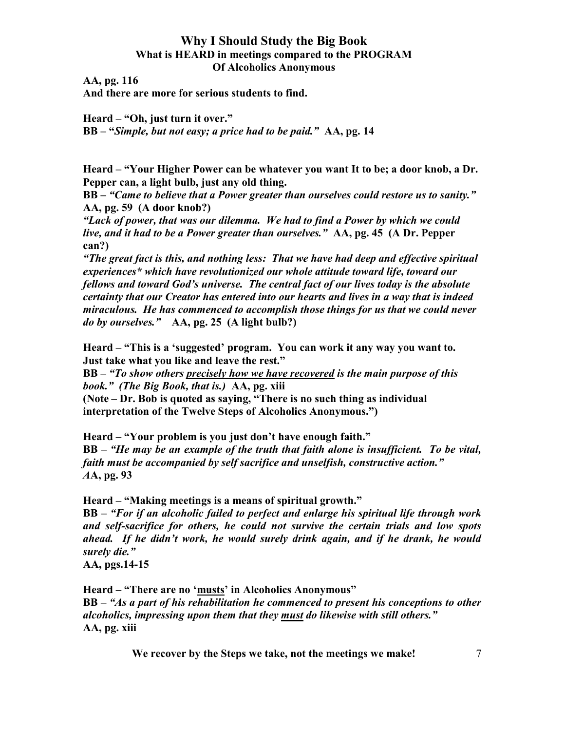AA, pg. 116

And there are more for serious students to find.

Heard – "Oh, just turn it over." BB – "Simple, but not easy; a price had to be paid." AA, pg. 14

Heard – "Your Higher Power can be whatever you want It to be; a door knob, a Dr. Pepper can, a light bulb, just any old thing.

BB – "Came to believe that a Power greater than ourselves could restore us to sanity." AA, pg. 59 (A door knob?)

"Lack of power, that was our dilemma. We had to find a Power by which we could live, and it had to be a Power greater than ourselves." AA, pg. 45 (A Dr. Pepper can?)

"The great fact is this, and nothing less: That we have had deep and effective spiritual experiences\* which have revolutionized our whole attitude toward life, toward our fellows and toward God's universe. The central fact of our lives today is the absolute certainty that our Creator has entered into our hearts and lives in a way that is indeed miraculous. He has commenced to accomplish those things for us that we could never do by ourselves." AA, pg. 25 (A light bulb?)

Heard – "This is a 'suggested' program. You can work it any way you want to. Just take what you like and leave the rest."

BB – "To show others precisely how we have recovered is the main purpose of this book." (The Big Book, that is.) AA, pg. xiii

(Note – Dr. Bob is quoted as saying, "There is no such thing as individual interpretation of the Twelve Steps of Alcoholics Anonymous.")

Heard – "Your problem is you just don't have enough faith." BB – "He may be an example of the truth that faith alone is insufficient. To be vital, faith must be accompanied by self sacrifice and unselfish, constructive action." AA, pg. 93

Heard – "Making meetings is a means of spiritual growth." BB – "For if an alcoholic failed to perfect and enlarge his spiritual life through work

and self-sacrifice for others, he could not survive the certain trials and low spots ahead. If he didn't work, he would surely drink again, and if he drank, he would surely die."

AA, pgs.14-15

Heard – "There are no 'musts' in Alcoholics Anonymous"

BB – "As a part of his rehabilitation he commenced to present his conceptions to other alcoholics, impressing upon them that they must do likewise with still others." AA, pg. xiii

We recover by the Steps we take, not the meetings we make!  $7 \frac{1}{2}$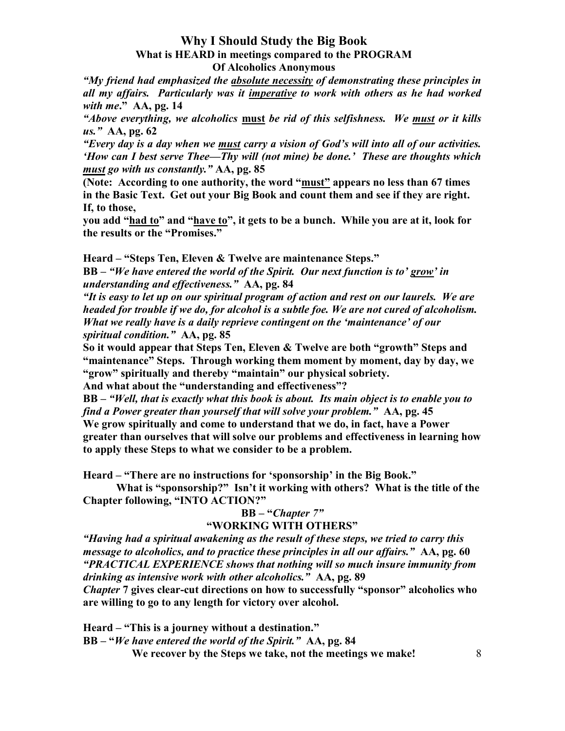"My friend had emphasized the absolute necessity of demonstrating these principles in all my affairs. Particularly was it imperative to work with others as he had worked with me."  $AA$ , pg. 14

"Above everything, we alcoholics must be rid of this selfishness. We must or it kills us." AA, pg. 62

"Every day is a day when we must carry a vision of God's will into all of our activities. 'How can I best serve Thee—Thy will (not mine) be done.' These are thoughts which must go with us constantly." AA, pg. 85

(Note: According to one authority, the word "must" appears no less than 67 times in the Basic Text. Get out your Big Book and count them and see if they are right. If, to those,

you add "had to" and "have to", it gets to be a bunch. While you are at it, look for the results or the "Promises."

Heard – "Steps Ten, Eleven & Twelve are maintenance Steps."

BB – "We have entered the world of the Spirit. Our next function is to' grow' in understanding and effectiveness." AA, pg. 84

"It is easy to let up on our spiritual program of action and rest on our laurels. We are headed for trouble if we do, for alcohol is a subtle foe. We are not cured of alcoholism. What we really have is a daily reprieve contingent on the 'maintenance' of our spiritual condition." AA, pg. 85

So it would appear that Steps Ten, Eleven & Twelve are both "growth" Steps and "maintenance" Steps. Through working them moment by moment, day by day, we "grow" spiritually and thereby "maintain" our physical sobriety.

And what about the "understanding and effectiveness"?

BB – "Well, that is exactly what this book is about. Its main object is to enable you to find a Power greater than yourself that will solve your problem." AA, pg. 45 We grow spiritually and come to understand that we do, in fact, have a Power greater than ourselves that will solve our problems and effectiveness in learning how to apply these Steps to what we consider to be a problem.

Heard – "There are no instructions for 'sponsorship' in the Big Book."

 What is "sponsorship?" Isn't it working with others? What is the title of the Chapter following, "INTO ACTION?"

# BB – "Chapter 7"

## "WORKING WITH OTHERS"

"Having had a spiritual awakening as the result of these steps, we tried to carry this message to alcoholics, and to practice these principles in all our affairs." AA, pg. 60 "PRACTICAL EXPERIENCE shows that nothing will so much insure immunity from drinking as intensive work with other alcoholics." AA, pg. 89

Chapter 7 gives clear-cut directions on how to successfully "sponsor" alcoholics who are willing to go to any length for victory over alcohol.

Heard – "This is a journey without a destination."

BB – "We have entered the world of the Spirit." AA, pg. 84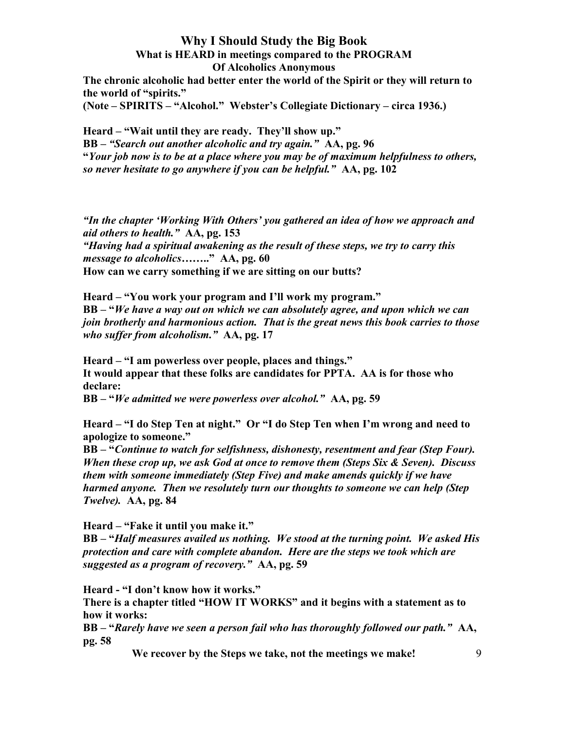The chronic alcoholic had better enter the world of the Spirit or they will return to the world of "spirits."

(Note – SPIRITS – "Alcohol." Webster's Collegiate Dictionary – circa 1936.)

Heard – "Wait until they are ready. They'll show up." BB – "Search out another alcoholic and try again." AA, pg. 96 "Your job now is to be at a place where you may be of maximum helpfulness to others, so never hesitate to go anywhere if you can be helpful." AA, pg. 102

"In the chapter 'Working With Others' you gathered an idea of how we approach and aid others to health." AA, pg. 153 "Having had a spiritual awakening as the result of these steps, we try to carry this message to alcoholics........" AA, pg. 60 How can we carry something if we are sitting on our butts?

Heard – "You work your program and I'll work my program." BB – "We have a way out on which we can absolutely agree, and upon which we can join brotherly and harmonious action. That is the great news this book carries to those who suffer from alcoholism." AA, pg. 17

Heard – "I am powerless over people, places and things." It would appear that these folks are candidates for PPTA. AA is for those who declare:

BB – "We admitted we were powerless over alcohol." AA, pg. 59

Heard – "I do Step Ten at night." Or "I do Step Ten when I'm wrong and need to apologize to someone."

BB – "Continue to watch for selfishness, dishonesty, resentment and fear (Step Four). When these crop up, we ask God at once to remove them (Steps Six & Seven). Discuss them with someone immediately (Step Five) and make amends quickly if we have harmed anyone. Then we resolutely turn our thoughts to someone we can help (Step Twelve). AA, pg. 84

Heard – "Fake it until you make it."

BB – "Half measures availed us nothing. We stood at the turning point. We asked His protection and care with complete abandon. Here are the steps we took which are suggested as a program of recovery." AA, pg. 59

Heard - "I don't know how it works."

There is a chapter titled "HOW IT WORKS" and it begins with a statement as to how it works:

BB – "Rarely have we seen a person fail who has thoroughly followed our path." AA, pg. 58